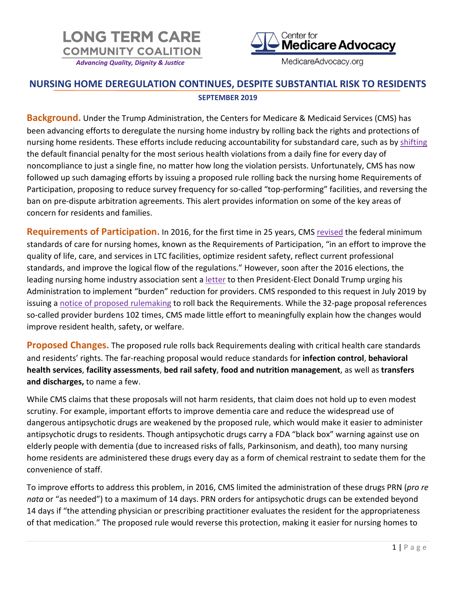



MedicareAdvocacy.org

## **NURSING HOME DEREGULATION CONTINUES, DESPITE SUBSTANTIAL RISK TO RESIDENTS SEPTEMBER 2019**

**Background.** Under the Trump Administration, the Centers for Medicare & Medicaid Services (CMS) has been advancing efforts to deregulate the nursing home industry by rolling back the rights and protections of nursing home residents. These efforts include reducing accountability for substandard care, such as by [shifting](http://www.medicareadvocacy.org/enforcement-weakens-as-civil-money-penalties-shift-from-per-day-to-per-instance/) the default financial penalty for the most serious health violations from a daily fine for every day of noncompliance to just a single fine, no matter how long the violation persists. Unfortunately, CMS has now followed up such damaging efforts by issuing a proposed rule rolling back the nursing home Requirements of Participation, proposing to reduce survey frequency for so-called "top-performing" facilities, and reversing the ban on pre-dispute arbitration agreements. This alert provides information on some of the key areas of concern for residents and families.

**Requirements of Participation.** In 2016, for the first time in 25 years, CMS [revised](https://www.govinfo.gov/content/pkg/FR-2016-10-04/pdf/2016-23503.pdf) the federal minimum standards of care for nursing homes, known as the Requirements of Participation, "in an effort to improve the quality of life, care, and services in LTC facilities, optimize resident safety, reflect current professional standards, and improve the logical flow of the regulations." However, soon after the 2016 elections, the leading nursing home industry association sent a [letter](https://theconsumervoice.org/uploads/files/issues/AHCANCAL-Letter-TrumpAdmin-Attachments.pdf) to then President-Elect Donald Trump urging his Administration to implement "burden" reduction for providers. CMS responded to this request in July 2019 by issuing a [notice of proposed rulemaking](https://www.govinfo.gov/content/pkg/FR-2019-07-18/pdf/2019-14946.pdf) to roll back the Requirements. While the 32-page proposal references so-called provider burdens 102 times, CMS made little effort to meaningfully explain how the changes would improve resident health, safety, or welfare.

**Proposed Changes.** The proposed rule rolls back Requirements dealing with critical health care standards and residents' rights. The far-reaching proposal would reduce standards for **infection control**, **behavioral health services**, **facility assessments**, **bed rail safety**, **food and nutrition management**, as well as **transfers and discharges,** to name a few.

While CMS claims that these proposals will not harm residents, that claim does not hold up to even modest scrutiny. For example, important efforts to improve dementia care and reduce the widespread use of dangerous antipsychotic drugs are weakened by the proposed rule, which would make it easier to administer antipsychotic drugs to residents. Though antipsychotic drugs carry a FDA "black box" warning against use on elderly people with dementia (due to increased risks of falls, Parkinsonism, and death), too many nursing home residents are administered these drugs every day as a form of chemical restraint to sedate them for the convenience of staff.

To improve efforts to address this problem, in 2016, CMS limited the administration of these drugs PRN (*pro re nata* or "as needed") to a maximum of 14 days. PRN orders for antipsychotic drugs can be extended beyond 14 days if "the attending physician or prescribing practitioner evaluates the resident for the appropriateness of that medication." The proposed rule would reverse this protection, making it easier for nursing homes to